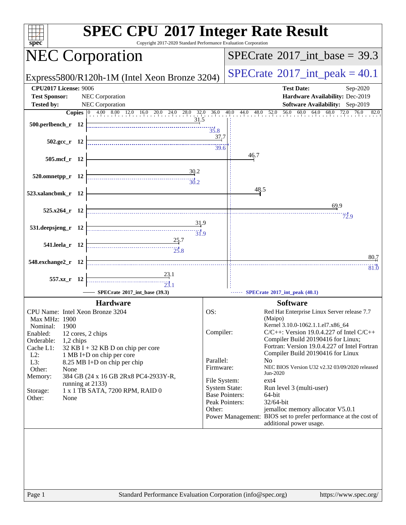| <b>SPEC CPU®2017 Integer Rate Result</b><br>Copyright 2017-2020 Standard Performance Evaluation Corporation<br>$spec^*$                                                                                                                                                                                                                                                                                                                                                                                                                                      |                                                   |                                                                                                                                |  |  |  |  |
|--------------------------------------------------------------------------------------------------------------------------------------------------------------------------------------------------------------------------------------------------------------------------------------------------------------------------------------------------------------------------------------------------------------------------------------------------------------------------------------------------------------------------------------------------------------|---------------------------------------------------|--------------------------------------------------------------------------------------------------------------------------------|--|--|--|--|
| <b>NEC Corporation</b>                                                                                                                                                                                                                                                                                                                                                                                                                                                                                                                                       |                                                   | $SPECTate$ <sup>®</sup> 2017_int_base = 39.3                                                                                   |  |  |  |  |
| Express5800/R120h-1M (Intel Xeon Bronze 3204)                                                                                                                                                                                                                                                                                                                                                                                                                                                                                                                |                                                   | $SPECTate^{\circ}2017$ _int_peak = 40.1                                                                                        |  |  |  |  |
| <b>CPU2017 License: 9006</b><br><b>Test Sponsor:</b><br>NEC Corporation                                                                                                                                                                                                                                                                                                                                                                                                                                                                                      |                                                   | <b>Test Date:</b><br>Sep-2020<br>Hardware Availability: Dec-2019                                                               |  |  |  |  |
| NEC Corporation<br><b>Tested by:</b>                                                                                                                                                                                                                                                                                                                                                                                                                                                                                                                         |                                                   | Software Availability: Sep-2019                                                                                                |  |  |  |  |
| <b>Copies</b> 0 4.00 8.00 12.0 16.0 20.0 24.0 28.0 32.0 36.0 40.0 44.0 48.0 52.0                                                                                                                                                                                                                                                                                                                                                                                                                                                                             |                                                   | 60.0<br>$64.0$ $68.0$ $72.0$ $76.0$<br>56.0<br>82.0                                                                            |  |  |  |  |
| 31.5<br>500.perlbench_r 12                                                                                                                                                                                                                                                                                                                                                                                                                                                                                                                                   | 35.8                                              |                                                                                                                                |  |  |  |  |
| $502.\text{gcc}_r$ 12                                                                                                                                                                                                                                                                                                                                                                                                                                                                                                                                        | 37,7<br>39.6                                      |                                                                                                                                |  |  |  |  |
| 505.mcf_r 12                                                                                                                                                                                                                                                                                                                                                                                                                                                                                                                                                 |                                                   | 46.7                                                                                                                           |  |  |  |  |
| $\frac{30}{2}$<br>520.omnetpp_r 12<br>$\frac{1}{30.2}$                                                                                                                                                                                                                                                                                                                                                                                                                                                                                                       |                                                   |                                                                                                                                |  |  |  |  |
| 523.xalancbmk_r 12                                                                                                                                                                                                                                                                                                                                                                                                                                                                                                                                           |                                                   | 48.5<br>69.9                                                                                                                   |  |  |  |  |
| $525.x264$ r 12<br>31.9                                                                                                                                                                                                                                                                                                                                                                                                                                                                                                                                      |                                                   | 72.9                                                                                                                           |  |  |  |  |
| 531.deepsjeng_r 12<br>31.9<br>25.7                                                                                                                                                                                                                                                                                                                                                                                                                                                                                                                           |                                                   |                                                                                                                                |  |  |  |  |
| 541.leela_r 12<br>$\begin{array}{c}\n 25.8\n \end{array}$                                                                                                                                                                                                                                                                                                                                                                                                                                                                                                    |                                                   | 80.7                                                                                                                           |  |  |  |  |
| 548.exchange2_r 12<br>$\frac{23.1}{2}$                                                                                                                                                                                                                                                                                                                                                                                                                                                                                                                       |                                                   | 81.0                                                                                                                           |  |  |  |  |
| 557.xz_r 12<br>$\begin{array}{c c}\n\hline\n\vdots \\ \hline\n\vdots \\ \hline\n\vdots \\ \hline\n\vdots \\ \hline\n\vdots \\ \hline\n\vdots \\ \hline\n\vdots \\ \hline\n\vdots \\ \hline\n\vdots \\ \hline\n\vdots \\ \hline\n\vdots \\ \hline\n\vdots \\ \hline\n\vdots \\ \hline\n\vdots \\ \hline\n\vdots \\ \hline\n\vdots \\ \hline\n\vdots \\ \hline\n\vdots \\ \hline\n\vdots \\ \hline\n\vdots \\ \hline\n\vdots \\ \hline\n\vdots \\ \hline\n\vdots \\ \hline\n\vdots \\ \hline\n\vdots \\ \hline\n\vdots \\ \h$<br>SPECrate®2017_int_base (39.3) |                                                   | SPECrate*2017_int_peak (40.1)                                                                                                  |  |  |  |  |
| <b>Hardware</b>                                                                                                                                                                                                                                                                                                                                                                                                                                                                                                                                              |                                                   | <b>Software</b>                                                                                                                |  |  |  |  |
| CPU Name: Intel Xeon Bronze 3204<br>Max MHz: 1900                                                                                                                                                                                                                                                                                                                                                                                                                                                                                                            | OS:                                               | Red Hat Enterprise Linux Server release 7.7<br>(Maipo)                                                                         |  |  |  |  |
| 1900<br>Nominal:<br>Enabled:<br>12 cores, 2 chips<br>Orderable:<br>1,2 chips                                                                                                                                                                                                                                                                                                                                                                                                                                                                                 | Compiler:                                         | Kernel 3.10.0-1062.1.1.el7.x86_64<br>$C/C++$ : Version 19.0.4.227 of Intel $C/C++$<br>Compiler Build 20190416 for Linux;       |  |  |  |  |
| Cache L1:<br>$32$ KB I + 32 KB D on chip per core<br>$L2$ :<br>1 MB I+D on chip per core                                                                                                                                                                                                                                                                                                                                                                                                                                                                     |                                                   | Fortran: Version 19.0.4.227 of Intel Fortran<br>Compiler Build 20190416 for Linux                                              |  |  |  |  |
| $L3$ :<br>8.25 MB I+D on chip per chip<br>Other:<br>None<br>Memory:<br>384 GB (24 x 16 GB 2Rx8 PC4-2933Y-R,                                                                                                                                                                                                                                                                                                                                                                                                                                                  | Parallel:<br>Firmware:                            | No<br>NEC BIOS Version U32 v2.32 03/09/2020 released<br>Jun-2020                                                               |  |  |  |  |
| running at 2133)<br>1 x 1 TB SATA, 7200 RPM, RAID 0<br>Storage:                                                                                                                                                                                                                                                                                                                                                                                                                                                                                              | File System:<br><b>System State:</b>              | $ext{4}$<br>Run level 3 (multi-user)                                                                                           |  |  |  |  |
| Other:<br>None                                                                                                                                                                                                                                                                                                                                                                                                                                                                                                                                               | <b>Base Pointers:</b><br>Peak Pointers:<br>Other: | 64-bit<br>$32/64$ -bit                                                                                                         |  |  |  |  |
|                                                                                                                                                                                                                                                                                                                                                                                                                                                                                                                                                              |                                                   | jemalloc memory allocator V5.0.1<br>Power Management: BIOS set to prefer performance at the cost of<br>additional power usage. |  |  |  |  |
|                                                                                                                                                                                                                                                                                                                                                                                                                                                                                                                                                              |                                                   |                                                                                                                                |  |  |  |  |
|                                                                                                                                                                                                                                                                                                                                                                                                                                                                                                                                                              |                                                   |                                                                                                                                |  |  |  |  |
|                                                                                                                                                                                                                                                                                                                                                                                                                                                                                                                                                              |                                                   |                                                                                                                                |  |  |  |  |
| $\mathbf{p}_{\alpha\alpha\alpha}$ 1<br>Standard Performance Evaluation Corporation (info@spec.org)                                                                                                                                                                                                                                                                                                                                                                                                                                                           |                                                   | http://www.                                                                                                                    |  |  |  |  |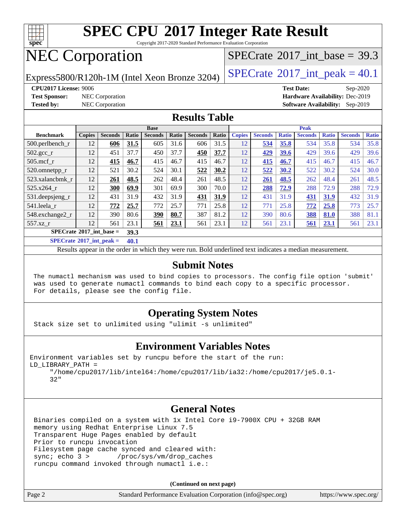

Copyright 2017-2020 Standard Performance Evaluation Corporation

### NEC Corporation

Express5800/R120h-1M (Intel Xeon Bronze 3204) [SPECrate](http://www.spec.org/auto/cpu2017/Docs/result-fields.html#SPECrate2017intpeak)<sup>®</sup>[2017\\_int\\_peak =](http://www.spec.org/auto/cpu2017/Docs/result-fields.html#SPECrate2017intpeak) 40.1

[SPECrate](http://www.spec.org/auto/cpu2017/Docs/result-fields.html#SPECrate2017intbase)®2017 int\_base = 39.3

**[CPU2017 License:](http://www.spec.org/auto/cpu2017/Docs/result-fields.html#CPU2017License)** 9006 **[Test Date:](http://www.spec.org/auto/cpu2017/Docs/result-fields.html#TestDate)** Sep-2020 **[Test Sponsor:](http://www.spec.org/auto/cpu2017/Docs/result-fields.html#TestSponsor)** NEC Corporation **[Hardware Availability:](http://www.spec.org/auto/cpu2017/Docs/result-fields.html#HardwareAvailability)** Dec-2019 **[Tested by:](http://www.spec.org/auto/cpu2017/Docs/result-fields.html#Testedby)** NEC Corporation **[Software Availability:](http://www.spec.org/auto/cpu2017/Docs/result-fields.html#SoftwareAvailability)** Sep-2019

#### **[Results Table](http://www.spec.org/auto/cpu2017/Docs/result-fields.html#ResultsTable)**

| <b>Base</b>                                     |               |                |       |                | <b>Peak</b> |                |       |               |                |              |                |              |                |              |
|-------------------------------------------------|---------------|----------------|-------|----------------|-------------|----------------|-------|---------------|----------------|--------------|----------------|--------------|----------------|--------------|
| <b>Benchmark</b>                                | <b>Copies</b> | <b>Seconds</b> | Ratio | <b>Seconds</b> | Ratio       | <b>Seconds</b> | Ratio | <b>Copies</b> | <b>Seconds</b> | <b>Ratio</b> | <b>Seconds</b> | <b>Ratio</b> | <b>Seconds</b> | <b>Ratio</b> |
| $500.$ perlbench_r                              | 12            | 606            | 31.5  | 605            | 31.6        | 606            | 31.5  | 12            | 534            | 35.8         | 534            | 35.8         | 534            | 35.8         |
| $502.\text{gcc}$ _r                             | 12            | 451            | 37.7  | 450            | 37.7        | 450            | 37.7  | 12            | 429            | 39.6         | 429            | 39.6         | 429            | 39.6         |
| $505$ .mcf r                                    | 12            | 415            | 46.7  | 415            | 46.7        | 415            | 46.7  | 12            | 415            | 46.7         | 415            | 46.7         | 415            | 46.7         |
| 520.omnetpp_r                                   | 12            | 521            | 30.2  | 524            | 30.1        | 522            | 30.2  | 12            | 522            | 30.2         | 522            | 30.2         | 524            | 30.0         |
| 523.xalancbmk_r                                 | 12            | 261            | 48.5  | 262            | 48.4        | 261            | 48.5  | 12            | 261            | 48.5         | 262            | 48.4         | 261            | 48.5         |
| 525.x264 r                                      | 12            | 300            | 69.9  | 301            | 69.9        | 300            | 70.0  | 12            | 288            | 72.9         | 288            | 72.9         | 288            | 72.9         |
| 531.deepsjeng_r                                 | 12            | 431            | 31.9  | 432            | 31.9        | 431            | 31.9  | 12            | 431            | 31.9         | <u>431</u>     | 31.9         | 432            | 31.9         |
| 541.leela_r                                     | 12            | 772            | 25.7  | 772            | 25.7        | 771            | 25.8  | 12            | 771            | 25.8         | 772            | 25.8         | 773            | 25.7         |
| 548.exchange2_r                                 | 12            | 390            | 80.6  | 390            | 80.7        | 387            | 81.2  | 12            | 390            | 80.6         | 388            | 81.0         | 388            | 81.1         |
| 557.xz r                                        | 12            | 561            | 23.1  | 561            | 23.1        | 561            | 23.1  | 12            | 561            | 23.1         | 561            | 23.1         | 561            | 23.1         |
| $SPECrate$ <sup>®</sup> 2017_int_base =<br>39.3 |               |                |       |                |             |                |       |               |                |              |                |              |                |              |
| $CDDCA_{1} + 200017$ $1.4 - 1.1$                |               |                | 40.4  |                |             |                |       |               |                |              |                |              |                |              |

**[SPECrate](http://www.spec.org/auto/cpu2017/Docs/result-fields.html#SPECrate2017intpeak)[2017\\_int\\_peak =](http://www.spec.org/auto/cpu2017/Docs/result-fields.html#SPECrate2017intpeak) 40.1**

Results appear in the [order in which they were run](http://www.spec.org/auto/cpu2017/Docs/result-fields.html#RunOrder). Bold underlined text [indicates a median measurement](http://www.spec.org/auto/cpu2017/Docs/result-fields.html#Median).

#### **[Submit Notes](http://www.spec.org/auto/cpu2017/Docs/result-fields.html#SubmitNotes)**

 The numactl mechanism was used to bind copies to processors. The config file option 'submit' was used to generate numactl commands to bind each copy to a specific processor. For details, please see the config file.

### **[Operating System Notes](http://www.spec.org/auto/cpu2017/Docs/result-fields.html#OperatingSystemNotes)**

Stack size set to unlimited using "ulimit -s unlimited"

### **[Environment Variables Notes](http://www.spec.org/auto/cpu2017/Docs/result-fields.html#EnvironmentVariablesNotes)**

Environment variables set by runcpu before the start of the run: LD\_LIBRARY\_PATH =

 "/home/cpu2017/lib/intel64:/home/cpu2017/lib/ia32:/home/cpu2017/je5.0.1- 32"

### **[General Notes](http://www.spec.org/auto/cpu2017/Docs/result-fields.html#GeneralNotes)**

 Binaries compiled on a system with 1x Intel Core i9-7900X CPU + 32GB RAM memory using Redhat Enterprise Linux 7.5 Transparent Huge Pages enabled by default Prior to runcpu invocation Filesystem page cache synced and cleared with: sync; echo 3 > /proc/sys/vm/drop\_caches runcpu command invoked through numactl i.e.:

**(Continued on next page)**

| Page 2 | Standard Performance Evaluation Corporation (info@spec.org) | https://www.spec.org/ |
|--------|-------------------------------------------------------------|-----------------------|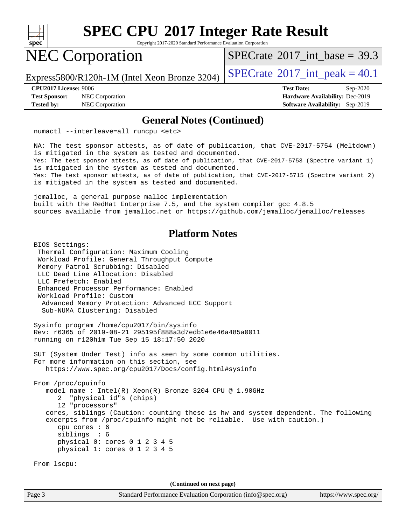

Copyright 2017-2020 Standard Performance Evaluation Corporation

### NEC Corporation

[SPECrate](http://www.spec.org/auto/cpu2017/Docs/result-fields.html#SPECrate2017intbase)®2017 int\_base = 39.3

Express5800/R120h-1M (Intel Xeon Bronze 3204)  $\left|$  [SPECrate](http://www.spec.org/auto/cpu2017/Docs/result-fields.html#SPECrate2017intpeak)<sup>®</sup>[2017\\_int\\_peak =](http://www.spec.org/auto/cpu2017/Docs/result-fields.html#SPECrate2017intpeak) 40.1

**[Test Sponsor:](http://www.spec.org/auto/cpu2017/Docs/result-fields.html#TestSponsor)** NEC Corporation **[Hardware Availability:](http://www.spec.org/auto/cpu2017/Docs/result-fields.html#HardwareAvailability)** Dec-2019

**[CPU2017 License:](http://www.spec.org/auto/cpu2017/Docs/result-fields.html#CPU2017License)** 9006 **[Test Date:](http://www.spec.org/auto/cpu2017/Docs/result-fields.html#TestDate)** Sep-2020 **[Tested by:](http://www.spec.org/auto/cpu2017/Docs/result-fields.html#Testedby)** NEC Corporation **[Software Availability:](http://www.spec.org/auto/cpu2017/Docs/result-fields.html#SoftwareAvailability)** Sep-2019

#### **[General Notes \(Continued\)](http://www.spec.org/auto/cpu2017/Docs/result-fields.html#GeneralNotes)**

numactl --interleave=all runcpu <etc>

 NA: The test sponsor attests, as of date of publication, that CVE-2017-5754 (Meltdown) is mitigated in the system as tested and documented. Yes: The test sponsor attests, as of date of publication, that CVE-2017-5753 (Spectre variant 1) is mitigated in the system as tested and documented. Yes: The test sponsor attests, as of date of publication, that CVE-2017-5715 (Spectre variant 2) is mitigated in the system as tested and documented.

 jemalloc, a general purpose malloc implementation built with the RedHat Enterprise 7.5, and the system compiler gcc 4.8.5 sources available from jemalloc.net or<https://github.com/jemalloc/jemalloc/releases>

### **[Platform Notes](http://www.spec.org/auto/cpu2017/Docs/result-fields.html#PlatformNotes)**

 BIOS Settings: Thermal Configuration: Maximum Cooling Workload Profile: General Throughput Compute Memory Patrol Scrubbing: Disabled LLC Dead Line Allocation: Disabled LLC Prefetch: Enabled Enhanced Processor Performance: Enabled Workload Profile: Custom Advanced Memory Protection: Advanced ECC Support Sub-NUMA Clustering: Disabled

 Sysinfo program /home/cpu2017/bin/sysinfo Rev: r6365 of 2019-08-21 295195f888a3d7edb1e6e46a485a0011 running on r120h1m Tue Sep 15 18:17:50 2020

 SUT (System Under Test) info as seen by some common utilities. For more information on this section, see <https://www.spec.org/cpu2017/Docs/config.html#sysinfo>

 From /proc/cpuinfo model name : Intel(R) Xeon(R) Bronze 3204 CPU @ 1.90GHz 2 "physical id"s (chips) 12 "processors" cores, siblings (Caution: counting these is hw and system dependent. The following excerpts from /proc/cpuinfo might not be reliable. Use with caution.) cpu cores : 6 siblings : 6 physical 0: cores 0 1 2 3 4 5 physical 1: cores 0 1 2 3 4 5

From lscpu:

**(Continued on next page)**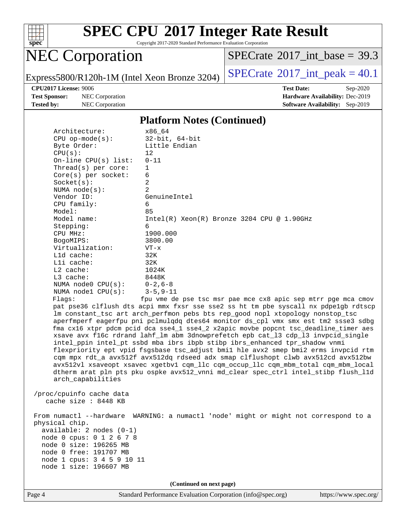

Copyright 2017-2020 Standard Performance Evaluation Corporation

### NEC Corporation

 $SPECTate@2017_int\_base = 39.3$ 

Express5800/R120h-1M (Intel Xeon Bronze 3204) [SPECrate](http://www.spec.org/auto/cpu2017/Docs/result-fields.html#SPECrate2017intpeak)®[2017\\_int\\_peak =](http://www.spec.org/auto/cpu2017/Docs/result-fields.html#SPECrate2017intpeak)  $40.1$ 

**[Test Sponsor:](http://www.spec.org/auto/cpu2017/Docs/result-fields.html#TestSponsor)** NEC Corporation **[Hardware Availability:](http://www.spec.org/auto/cpu2017/Docs/result-fields.html#HardwareAvailability)** Dec-2019 **[Tested by:](http://www.spec.org/auto/cpu2017/Docs/result-fields.html#Testedby)** NEC Corporation **[Software Availability:](http://www.spec.org/auto/cpu2017/Docs/result-fields.html#SoftwareAvailability)** Sep-2019

**[CPU2017 License:](http://www.spec.org/auto/cpu2017/Docs/result-fields.html#CPU2017License)** 9006 **[Test Date:](http://www.spec.org/auto/cpu2017/Docs/result-fields.html#TestDate)** Sep-2020

#### **[Platform Notes \(Continued\)](http://www.spec.org/auto/cpu2017/Docs/result-fields.html#PlatformNotes)**

| Architecture:              | x86_64                                                                                                                                                               |  |  |  |  |
|----------------------------|----------------------------------------------------------------------------------------------------------------------------------------------------------------------|--|--|--|--|
| $CPU$ op-mode( $s$ ):      | $32$ -bit, $64$ -bit                                                                                                                                                 |  |  |  |  |
| Byte Order:                | Little Endian                                                                                                                                                        |  |  |  |  |
| CPU(s):                    | 12                                                                                                                                                                   |  |  |  |  |
| On-line CPU(s) list:       | $0 - 11$                                                                                                                                                             |  |  |  |  |
| Thread( $s$ ) per core:    | $\mathbf 1$                                                                                                                                                          |  |  |  |  |
| Core(s) per socket:        | 6                                                                                                                                                                    |  |  |  |  |
| Socket(s):                 | 2                                                                                                                                                                    |  |  |  |  |
| NUMA $node(s):$            | 2                                                                                                                                                                    |  |  |  |  |
| Vendor ID:                 | GenuineIntel                                                                                                                                                         |  |  |  |  |
| CPU family:                | 6                                                                                                                                                                    |  |  |  |  |
| Model:                     | 85                                                                                                                                                                   |  |  |  |  |
| Model name:                | $Intel(R) Xeon(R) Bronze 3204 CPU @ 1.90GHz$                                                                                                                         |  |  |  |  |
| Stepping:                  | 6                                                                                                                                                                    |  |  |  |  |
| CPU MHz:                   | 1900.000                                                                                                                                                             |  |  |  |  |
| BogoMIPS:                  | 3800.00                                                                                                                                                              |  |  |  |  |
| Virtualization:            | $VT - x$                                                                                                                                                             |  |  |  |  |
| L1d cache:                 | 32K                                                                                                                                                                  |  |  |  |  |
| Lli cache:                 | 32K                                                                                                                                                                  |  |  |  |  |
| L2 cache:                  | 1024K                                                                                                                                                                |  |  |  |  |
| L3 cache:                  | 8448K                                                                                                                                                                |  |  |  |  |
| NUMA node0 CPU(s):         | $0 - 2, 6 - 8$                                                                                                                                                       |  |  |  |  |
| NUMA nodel $CPU(s):$       | $3 - 5, 9 - 11$                                                                                                                                                      |  |  |  |  |
| Flagg:                     | fpu vme de pse tsc msr pae mce cx8 apic sep mtrr pge mca cmov                                                                                                        |  |  |  |  |
|                            | pat pse36 clflush dts acpi mmx fxsr sse sse2 ss ht tm pbe syscall nx pdpelgb rdtscp<br>lm constant_tsc art arch_perfmon pebs bts rep_good nopl xtopology nonstop_tsc |  |  |  |  |
|                            | aperfmperf eagerfpu pni pclmulqdq dtes64 monitor ds_cpl vmx smx est tm2 ssse3 sdbg                                                                                   |  |  |  |  |
|                            | fma cx16 xtpr pdcm pcid dca sse4_1 sse4_2 x2apic movbe popcnt tsc_deadline_timer aes                                                                                 |  |  |  |  |
|                            | xsave avx f16c rdrand lahf_lm abm 3dnowprefetch epb cat_13 cdp_13 invpcid_single                                                                                     |  |  |  |  |
|                            | intel_ppin intel_pt ssbd mba ibrs ibpb stibp ibrs_enhanced tpr_shadow vnmi                                                                                           |  |  |  |  |
|                            | flexpriority ept vpid fsgsbase tsc_adjust bmil hle avx2 smep bmi2 erms invpcid rtm                                                                                   |  |  |  |  |
|                            | cqm mpx rdt_a avx512f avx512dq rdseed adx smap clflushopt clwb avx512cd avx512bw                                                                                     |  |  |  |  |
|                            | avx512vl xsaveopt xsavec xgetbvl cqm_llc cqm_occup_llc cqm_mbm_total cqm_mbm_local                                                                                   |  |  |  |  |
|                            | dtherm arat pln pts pku ospke avx512_vnni md_clear spec_ctrl intel_stibp flush_l1d                                                                                   |  |  |  |  |
| arch_capabilities          |                                                                                                                                                                      |  |  |  |  |
|                            |                                                                                                                                                                      |  |  |  |  |
| /proc/cpuinfo cache data   |                                                                                                                                                                      |  |  |  |  |
| cache size: 8448 KB        |                                                                                                                                                                      |  |  |  |  |
|                            |                                                                                                                                                                      |  |  |  |  |
|                            | From numactl --hardware WARNING: a numactl 'node' might or might not correspond to a                                                                                 |  |  |  |  |
| physical chip.             |                                                                                                                                                                      |  |  |  |  |
| available: 2 nodes (0-1)   |                                                                                                                                                                      |  |  |  |  |
| node 0 cpus: 0 1 2 6 7 8   |                                                                                                                                                                      |  |  |  |  |
| node 0 size: 196265 MB     |                                                                                                                                                                      |  |  |  |  |
| node 0 free: 191707 MB     |                                                                                                                                                                      |  |  |  |  |
| node 1 cpus: 3 4 5 9 10 11 |                                                                                                                                                                      |  |  |  |  |
| node 1 size: 196607 MB     |                                                                                                                                                                      |  |  |  |  |
|                            |                                                                                                                                                                      |  |  |  |  |
| (Continued on next page)   |                                                                                                                                                                      |  |  |  |  |
|                            |                                                                                                                                                                      |  |  |  |  |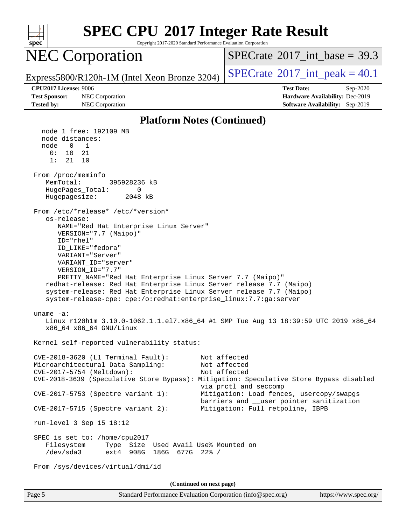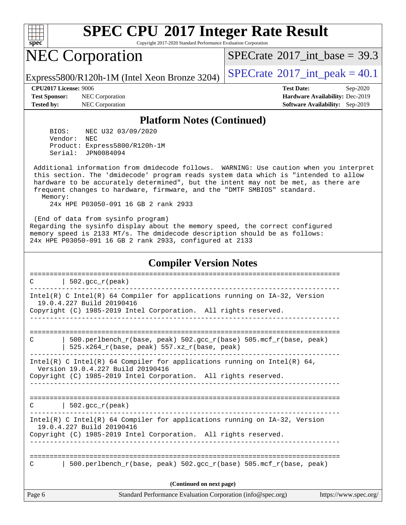

Copyright 2017-2020 Standard Performance Evaluation Corporation

### NEC Corporation

[SPECrate](http://www.spec.org/auto/cpu2017/Docs/result-fields.html#SPECrate2017intbase)®2017 int\_base = 39.3

Express5800/R120h-1M (Intel Xeon Bronze 3204) [SPECrate](http://www.spec.org/auto/cpu2017/Docs/result-fields.html#SPECrate2017intpeak)<sup>®</sup>[2017\\_int\\_peak =](http://www.spec.org/auto/cpu2017/Docs/result-fields.html#SPECrate2017intpeak) 40.1

**[Test Sponsor:](http://www.spec.org/auto/cpu2017/Docs/result-fields.html#TestSponsor)** NEC Corporation **[Hardware Availability:](http://www.spec.org/auto/cpu2017/Docs/result-fields.html#HardwareAvailability)** Dec-2019 **[Tested by:](http://www.spec.org/auto/cpu2017/Docs/result-fields.html#Testedby)** NEC Corporation **[Software Availability:](http://www.spec.org/auto/cpu2017/Docs/result-fields.html#SoftwareAvailability)** Sep-2019

**[CPU2017 License:](http://www.spec.org/auto/cpu2017/Docs/result-fields.html#CPU2017License)** 9006 **[Test Date:](http://www.spec.org/auto/cpu2017/Docs/result-fields.html#TestDate)** Sep-2020

#### **[Platform Notes \(Continued\)](http://www.spec.org/auto/cpu2017/Docs/result-fields.html#PlatformNotes)**

 BIOS: NEC U32 03/09/2020 Vendor: NEC Product: Express5800/R120h-1M Serial: JPN0084094

 Additional information from dmidecode follows. WARNING: Use caution when you interpret this section. The 'dmidecode' program reads system data which is "intended to allow hardware to be accurately determined", but the intent may not be met, as there are frequent changes to hardware, firmware, and the "DMTF SMBIOS" standard. Memory:

24x HPE P03050-091 16 GB 2 rank 2933

 (End of data from sysinfo program) Regarding the sysinfo display about the memory speed, the correct configured memory speed is 2133 MT/s. The dmidecode description should be as follows: 24x HPE P03050-091 16 GB 2 rank 2933, configured at 2133

#### **[Compiler Version Notes](http://www.spec.org/auto/cpu2017/Docs/result-fields.html#CompilerVersionNotes)**

Page 6 Standard Performance Evaluation Corporation [\(info@spec.org\)](mailto:info@spec.org) <https://www.spec.org/> ==============================================================================  $C \qquad \qquad \vert \quad 502.\text{gcc\_r}(\text{peak})$ ------------------------------------------------------------------------------ Intel(R) C Intel(R) 64 Compiler for applications running on IA-32, Version 19.0.4.227 Build 20190416 Copyright (C) 1985-2019 Intel Corporation. All rights reserved. ------------------------------------------------------------------------------ ============================================================================== C | 500.perlbench\_r(base, peak) 502.gcc\_r(base) 505.mcf\_r(base, peak) | 525.x264\_r(base, peak) 557.xz\_r(base, peak) ------------------------------------------------------------------------------ Intel(R) C Intel(R) 64 Compiler for applications running on Intel(R) 64, Version 19.0.4.227 Build 20190416 Copyright (C) 1985-2019 Intel Corporation. All rights reserved. ------------------------------------------------------------------------------ ==============================================================================  $C \qquad \qquad | \; 502.\text{gcc\_r}(\text{peak})$ ------------------------------------------------------------------------------ Intel(R) C Intel(R) 64 Compiler for applications running on IA-32, Version 19.0.4.227 Build 20190416 Copyright (C) 1985-2019 Intel Corporation. All rights reserved. ------------------------------------------------------------------------------ ============================================================================== C  $\vert$  500.perlbench r(base, peak) 502.gcc r(base) 505.mcf r(base, peak) **(Continued on next page)**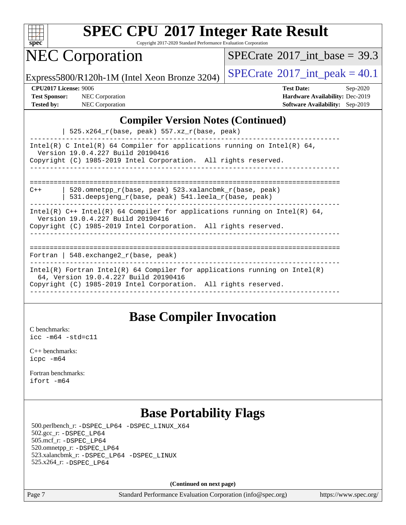

Copyright 2017-2020 Standard Performance Evaluation Corporation

### NEC Corporation

[SPECrate](http://www.spec.org/auto/cpu2017/Docs/result-fields.html#SPECrate2017intbase)®2017 int\_base = 39.3

Express5800/R120h-1M (Intel Xeon Bronze 3204) [SPECrate](http://www.spec.org/auto/cpu2017/Docs/result-fields.html#SPECrate2017intpeak)<sup>®</sup>[2017\\_int\\_peak =](http://www.spec.org/auto/cpu2017/Docs/result-fields.html#SPECrate2017intpeak) 40.1

**[Test Sponsor:](http://www.spec.org/auto/cpu2017/Docs/result-fields.html#TestSponsor)** NEC Corporation **[Hardware Availability:](http://www.spec.org/auto/cpu2017/Docs/result-fields.html#HardwareAvailability)** Dec-2019

**[CPU2017 License:](http://www.spec.org/auto/cpu2017/Docs/result-fields.html#CPU2017License)** 9006 **[Test Date:](http://www.spec.org/auto/cpu2017/Docs/result-fields.html#TestDate)** Sep-2020 **[Tested by:](http://www.spec.org/auto/cpu2017/Docs/result-fields.html#Testedby)** NEC Corporation **[Software Availability:](http://www.spec.org/auto/cpu2017/Docs/result-fields.html#SoftwareAvailability)** Sep-2019

#### **[Compiler Version Notes \(Continued\)](http://www.spec.org/auto/cpu2017/Docs/result-fields.html#CompilerVersionNotes)**

| 525.x264\_r(base, peak) 557.xz\_r(base, peak)

------------------------------------------------------------------------------ Intel(R) C Intel(R) 64 Compiler for applications running on Intel(R)  $64$ , Version 19.0.4.227 Build 20190416 Copyright (C) 1985-2019 Intel Corporation. All rights reserved. ------------------------------------------------------------------------------

============================================================================== C++ | 520.omnetpp\_r(base, peak) 523.xalancbmk\_r(base, peak)

| 531.deepsjeng\_r(base, peak) 541.leela\_r(base, peak)

------------------------------------------------------------------------------ Intel(R)  $C++$  Intel(R) 64 Compiler for applications running on Intel(R) 64,

Version 19.0.4.227 Build 20190416

Copyright (C) 1985-2019 Intel Corporation. All rights reserved. ------------------------------------------------------------------------------

============================================================================== Fortran | 548.exchange2\_r(base, peak) ------------------------------------------------------------------------------ Intel(R) Fortran Intel(R) 64 Compiler for applications running on Intel(R)

 64, Version 19.0.4.227 Build 20190416 Copyright (C) 1985-2019 Intel Corporation. All rights reserved. ------------------------------------------------------------------------------

### **[Base Compiler Invocation](http://www.spec.org/auto/cpu2017/Docs/result-fields.html#BaseCompilerInvocation)**

[C benchmarks](http://www.spec.org/auto/cpu2017/Docs/result-fields.html#Cbenchmarks): [icc -m64 -std=c11](http://www.spec.org/cpu2017/results/res2020q4/cpu2017-20200928-24123.flags.html#user_CCbase_intel_icc_64bit_c11_33ee0cdaae7deeeab2a9725423ba97205ce30f63b9926c2519791662299b76a0318f32ddfffdc46587804de3178b4f9328c46fa7c2b0cd779d7a61945c91cd35)

[C++ benchmarks:](http://www.spec.org/auto/cpu2017/Docs/result-fields.html#CXXbenchmarks) [icpc -m64](http://www.spec.org/cpu2017/results/res2020q4/cpu2017-20200928-24123.flags.html#user_CXXbase_intel_icpc_64bit_4ecb2543ae3f1412ef961e0650ca070fec7b7afdcd6ed48761b84423119d1bf6bdf5cad15b44d48e7256388bc77273b966e5eb805aefd121eb22e9299b2ec9d9)

[Fortran benchmarks](http://www.spec.org/auto/cpu2017/Docs/result-fields.html#Fortranbenchmarks): [ifort -m64](http://www.spec.org/cpu2017/results/res2020q4/cpu2017-20200928-24123.flags.html#user_FCbase_intel_ifort_64bit_24f2bb282fbaeffd6157abe4f878425411749daecae9a33200eee2bee2fe76f3b89351d69a8130dd5949958ce389cf37ff59a95e7a40d588e8d3a57e0c3fd751)

### **[Base Portability Flags](http://www.spec.org/auto/cpu2017/Docs/result-fields.html#BasePortabilityFlags)**

 500.perlbench\_r: [-DSPEC\\_LP64](http://www.spec.org/cpu2017/results/res2020q4/cpu2017-20200928-24123.flags.html#b500.perlbench_r_basePORTABILITY_DSPEC_LP64) [-DSPEC\\_LINUX\\_X64](http://www.spec.org/cpu2017/results/res2020q4/cpu2017-20200928-24123.flags.html#b500.perlbench_r_baseCPORTABILITY_DSPEC_LINUX_X64) 502.gcc\_r: [-DSPEC\\_LP64](http://www.spec.org/cpu2017/results/res2020q4/cpu2017-20200928-24123.flags.html#suite_basePORTABILITY502_gcc_r_DSPEC_LP64) 505.mcf\_r: [-DSPEC\\_LP64](http://www.spec.org/cpu2017/results/res2020q4/cpu2017-20200928-24123.flags.html#suite_basePORTABILITY505_mcf_r_DSPEC_LP64) 520.omnetpp\_r: [-DSPEC\\_LP64](http://www.spec.org/cpu2017/results/res2020q4/cpu2017-20200928-24123.flags.html#suite_basePORTABILITY520_omnetpp_r_DSPEC_LP64) 523.xalancbmk\_r: [-DSPEC\\_LP64](http://www.spec.org/cpu2017/results/res2020q4/cpu2017-20200928-24123.flags.html#suite_basePORTABILITY523_xalancbmk_r_DSPEC_LP64) [-DSPEC\\_LINUX](http://www.spec.org/cpu2017/results/res2020q4/cpu2017-20200928-24123.flags.html#b523.xalancbmk_r_baseCXXPORTABILITY_DSPEC_LINUX) 525.x264\_r: [-DSPEC\\_LP64](http://www.spec.org/cpu2017/results/res2020q4/cpu2017-20200928-24123.flags.html#suite_basePORTABILITY525_x264_r_DSPEC_LP64)

**(Continued on next page)**

Page 7 Standard Performance Evaluation Corporation [\(info@spec.org\)](mailto:info@spec.org) <https://www.spec.org/>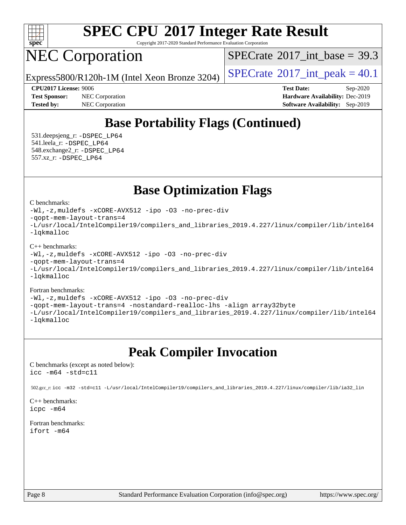

Copyright 2017-2020 Standard Performance Evaluation Corporation

### NEC Corporation

[SPECrate](http://www.spec.org/auto/cpu2017/Docs/result-fields.html#SPECrate2017intbase)<sup>®</sup>2017 int\_base = 39.3

Express5800/R120h-1M (Intel Xeon Bronze 3204)  $\left|$  [SPECrate](http://www.spec.org/auto/cpu2017/Docs/result-fields.html#SPECrate2017intpeak)®[2017\\_int\\_peak =](http://www.spec.org/auto/cpu2017/Docs/result-fields.html#SPECrate2017intpeak) 40.1

**[CPU2017 License:](http://www.spec.org/auto/cpu2017/Docs/result-fields.html#CPU2017License)** 9006 **[Test Date:](http://www.spec.org/auto/cpu2017/Docs/result-fields.html#TestDate)** Sep-2020 **[Test Sponsor:](http://www.spec.org/auto/cpu2017/Docs/result-fields.html#TestSponsor)** NEC Corporation **[Hardware Availability:](http://www.spec.org/auto/cpu2017/Docs/result-fields.html#HardwareAvailability)** Dec-2019 **[Tested by:](http://www.spec.org/auto/cpu2017/Docs/result-fields.html#Testedby)** NEC Corporation **[Software Availability:](http://www.spec.org/auto/cpu2017/Docs/result-fields.html#SoftwareAvailability)** Sep-2019

### **[Base Portability Flags \(Continued\)](http://www.spec.org/auto/cpu2017/Docs/result-fields.html#BasePortabilityFlags)**

 531.deepsjeng\_r: [-DSPEC\\_LP64](http://www.spec.org/cpu2017/results/res2020q4/cpu2017-20200928-24123.flags.html#suite_basePORTABILITY531_deepsjeng_r_DSPEC_LP64) 541.leela\_r: [-DSPEC\\_LP64](http://www.spec.org/cpu2017/results/res2020q4/cpu2017-20200928-24123.flags.html#suite_basePORTABILITY541_leela_r_DSPEC_LP64) 548.exchange2\_r: [-DSPEC\\_LP64](http://www.spec.org/cpu2017/results/res2020q4/cpu2017-20200928-24123.flags.html#suite_basePORTABILITY548_exchange2_r_DSPEC_LP64) 557.xz\_r: [-DSPEC\\_LP64](http://www.spec.org/cpu2017/results/res2020q4/cpu2017-20200928-24123.flags.html#suite_basePORTABILITY557_xz_r_DSPEC_LP64)

### **[Base Optimization Flags](http://www.spec.org/auto/cpu2017/Docs/result-fields.html#BaseOptimizationFlags)**

[C benchmarks](http://www.spec.org/auto/cpu2017/Docs/result-fields.html#Cbenchmarks):

[-Wl,-z,muldefs](http://www.spec.org/cpu2017/results/res2020q4/cpu2017-20200928-24123.flags.html#user_CCbase_link_force_multiple1_b4cbdb97b34bdee9ceefcfe54f4c8ea74255f0b02a4b23e853cdb0e18eb4525ac79b5a88067c842dd0ee6996c24547a27a4b99331201badda8798ef8a743f577) [-xCORE-AVX512](http://www.spec.org/cpu2017/results/res2020q4/cpu2017-20200928-24123.flags.html#user_CCbase_f-xCORE-AVX512) [-ipo](http://www.spec.org/cpu2017/results/res2020q4/cpu2017-20200928-24123.flags.html#user_CCbase_f-ipo) [-O3](http://www.spec.org/cpu2017/results/res2020q4/cpu2017-20200928-24123.flags.html#user_CCbase_f-O3) [-no-prec-div](http://www.spec.org/cpu2017/results/res2020q4/cpu2017-20200928-24123.flags.html#user_CCbase_f-no-prec-div) [-qopt-mem-layout-trans=4](http://www.spec.org/cpu2017/results/res2020q4/cpu2017-20200928-24123.flags.html#user_CCbase_f-qopt-mem-layout-trans_fa39e755916c150a61361b7846f310bcdf6f04e385ef281cadf3647acec3f0ae266d1a1d22d972a7087a248fd4e6ca390a3634700869573d231a252c784941a8) [-L/usr/local/IntelCompiler19/compilers\\_and\\_libraries\\_2019.4.227/linux/compiler/lib/intel64](http://www.spec.org/cpu2017/results/res2020q4/cpu2017-20200928-24123.flags.html#user_CCbase_qkmalloc_link_0ffe0cb02c68ef1b443a077c7888c10c67ca0d1dd7138472156f06a085bbad385f78d49618ad55dca9db3b1608e84afc2f69b4003b1d1ca498a9fc1462ccefda) [-lqkmalloc](http://www.spec.org/cpu2017/results/res2020q4/cpu2017-20200928-24123.flags.html#user_CCbase_qkmalloc_link_lib_79a818439969f771c6bc311cfd333c00fc099dad35c030f5aab9dda831713d2015205805422f83de8875488a2991c0a156aaa600e1f9138f8fc37004abc96dc5)

[C++ benchmarks](http://www.spec.org/auto/cpu2017/Docs/result-fields.html#CXXbenchmarks):

[-Wl,-z,muldefs](http://www.spec.org/cpu2017/results/res2020q4/cpu2017-20200928-24123.flags.html#user_CXXbase_link_force_multiple1_b4cbdb97b34bdee9ceefcfe54f4c8ea74255f0b02a4b23e853cdb0e18eb4525ac79b5a88067c842dd0ee6996c24547a27a4b99331201badda8798ef8a743f577) [-xCORE-AVX512](http://www.spec.org/cpu2017/results/res2020q4/cpu2017-20200928-24123.flags.html#user_CXXbase_f-xCORE-AVX512) [-ipo](http://www.spec.org/cpu2017/results/res2020q4/cpu2017-20200928-24123.flags.html#user_CXXbase_f-ipo) [-O3](http://www.spec.org/cpu2017/results/res2020q4/cpu2017-20200928-24123.flags.html#user_CXXbase_f-O3) [-no-prec-div](http://www.spec.org/cpu2017/results/res2020q4/cpu2017-20200928-24123.flags.html#user_CXXbase_f-no-prec-div)

[-qopt-mem-layout-trans=4](http://www.spec.org/cpu2017/results/res2020q4/cpu2017-20200928-24123.flags.html#user_CXXbase_f-qopt-mem-layout-trans_fa39e755916c150a61361b7846f310bcdf6f04e385ef281cadf3647acec3f0ae266d1a1d22d972a7087a248fd4e6ca390a3634700869573d231a252c784941a8)

[-L/usr/local/IntelCompiler19/compilers\\_and\\_libraries\\_2019.4.227/linux/compiler/lib/intel64](http://www.spec.org/cpu2017/results/res2020q4/cpu2017-20200928-24123.flags.html#user_CXXbase_qkmalloc_link_0ffe0cb02c68ef1b443a077c7888c10c67ca0d1dd7138472156f06a085bbad385f78d49618ad55dca9db3b1608e84afc2f69b4003b1d1ca498a9fc1462ccefda) [-lqkmalloc](http://www.spec.org/cpu2017/results/res2020q4/cpu2017-20200928-24123.flags.html#user_CXXbase_qkmalloc_link_lib_79a818439969f771c6bc311cfd333c00fc099dad35c030f5aab9dda831713d2015205805422f83de8875488a2991c0a156aaa600e1f9138f8fc37004abc96dc5)

#### [Fortran benchmarks](http://www.spec.org/auto/cpu2017/Docs/result-fields.html#Fortranbenchmarks):

[-Wl,-z,muldefs](http://www.spec.org/cpu2017/results/res2020q4/cpu2017-20200928-24123.flags.html#user_FCbase_link_force_multiple1_b4cbdb97b34bdee9ceefcfe54f4c8ea74255f0b02a4b23e853cdb0e18eb4525ac79b5a88067c842dd0ee6996c24547a27a4b99331201badda8798ef8a743f577) [-xCORE-AVX512](http://www.spec.org/cpu2017/results/res2020q4/cpu2017-20200928-24123.flags.html#user_FCbase_f-xCORE-AVX512) [-ipo](http://www.spec.org/cpu2017/results/res2020q4/cpu2017-20200928-24123.flags.html#user_FCbase_f-ipo) [-O3](http://www.spec.org/cpu2017/results/res2020q4/cpu2017-20200928-24123.flags.html#user_FCbase_f-O3) [-no-prec-div](http://www.spec.org/cpu2017/results/res2020q4/cpu2017-20200928-24123.flags.html#user_FCbase_f-no-prec-div)

[-qopt-mem-layout-trans=4](http://www.spec.org/cpu2017/results/res2020q4/cpu2017-20200928-24123.flags.html#user_FCbase_f-qopt-mem-layout-trans_fa39e755916c150a61361b7846f310bcdf6f04e385ef281cadf3647acec3f0ae266d1a1d22d972a7087a248fd4e6ca390a3634700869573d231a252c784941a8) [-nostandard-realloc-lhs](http://www.spec.org/cpu2017/results/res2020q4/cpu2017-20200928-24123.flags.html#user_FCbase_f_2003_std_realloc_82b4557e90729c0f113870c07e44d33d6f5a304b4f63d4c15d2d0f1fab99f5daaed73bdb9275d9ae411527f28b936061aa8b9c8f2d63842963b95c9dd6426b8a) [-align array32byte](http://www.spec.org/cpu2017/results/res2020q4/cpu2017-20200928-24123.flags.html#user_FCbase_align_array32byte_b982fe038af199962ba9a80c053b8342c548c85b40b8e86eb3cc33dee0d7986a4af373ac2d51c3f7cf710a18d62fdce2948f201cd044323541f22fc0fffc51b6)

[-L/usr/local/IntelCompiler19/compilers\\_and\\_libraries\\_2019.4.227/linux/compiler/lib/intel64](http://www.spec.org/cpu2017/results/res2020q4/cpu2017-20200928-24123.flags.html#user_FCbase_qkmalloc_link_0ffe0cb02c68ef1b443a077c7888c10c67ca0d1dd7138472156f06a085bbad385f78d49618ad55dca9db3b1608e84afc2f69b4003b1d1ca498a9fc1462ccefda) [-lqkmalloc](http://www.spec.org/cpu2017/results/res2020q4/cpu2017-20200928-24123.flags.html#user_FCbase_qkmalloc_link_lib_79a818439969f771c6bc311cfd333c00fc099dad35c030f5aab9dda831713d2015205805422f83de8875488a2991c0a156aaa600e1f9138f8fc37004abc96dc5)

### **[Peak Compiler Invocation](http://www.spec.org/auto/cpu2017/Docs/result-fields.html#PeakCompilerInvocation)**

[C benchmarks \(except as noted below\)](http://www.spec.org/auto/cpu2017/Docs/result-fields.html#Cbenchmarksexceptasnotedbelow): [icc -m64 -std=c11](http://www.spec.org/cpu2017/results/res2020q4/cpu2017-20200928-24123.flags.html#user_CCpeak_intel_icc_64bit_c11_33ee0cdaae7deeeab2a9725423ba97205ce30f63b9926c2519791662299b76a0318f32ddfffdc46587804de3178b4f9328c46fa7c2b0cd779d7a61945c91cd35)

502.gcc\_r: [icc -m32 -std=c11 -L/usr/local/IntelCompiler19/compilers\\_and\\_libraries\\_2019.4.227/linux/compiler/lib/ia32\\_lin](http://www.spec.org/cpu2017/results/res2020q4/cpu2017-20200928-24123.flags.html#user_peakCCLD502_gcc_r_intel_icc_38a193a897536fa645efb1dc6ac2bea2bddbbe56f130e144a606d1b2649003f27c79f8814020c1f9355cbbf0d7ab0d194a7a979ee1e2a95641bbb8cf571aac7b)

[C++ benchmarks:](http://www.spec.org/auto/cpu2017/Docs/result-fields.html#CXXbenchmarks) [icpc -m64](http://www.spec.org/cpu2017/results/res2020q4/cpu2017-20200928-24123.flags.html#user_CXXpeak_intel_icpc_64bit_4ecb2543ae3f1412ef961e0650ca070fec7b7afdcd6ed48761b84423119d1bf6bdf5cad15b44d48e7256388bc77273b966e5eb805aefd121eb22e9299b2ec9d9)

[Fortran benchmarks](http://www.spec.org/auto/cpu2017/Docs/result-fields.html#Fortranbenchmarks): [ifort -m64](http://www.spec.org/cpu2017/results/res2020q4/cpu2017-20200928-24123.flags.html#user_FCpeak_intel_ifort_64bit_24f2bb282fbaeffd6157abe4f878425411749daecae9a33200eee2bee2fe76f3b89351d69a8130dd5949958ce389cf37ff59a95e7a40d588e8d3a57e0c3fd751)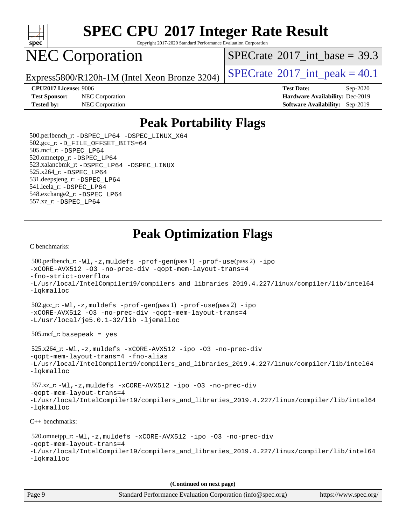

Copyright 2017-2020 Standard Performance Evaluation Corporation

### NEC Corporation

 $SPECTate$ <sup>®</sup>[2017\\_int\\_base =](http://www.spec.org/auto/cpu2017/Docs/result-fields.html#SPECrate2017intbase) 39.3

Express5800/R120h-1M (Intel Xeon Bronze 3204) [SPECrate](http://www.spec.org/auto/cpu2017/Docs/result-fields.html#SPECrate2017intpeak)<sup>®</sup>[2017\\_int\\_peak =](http://www.spec.org/auto/cpu2017/Docs/result-fields.html#SPECrate2017intpeak) 40.1

**[Test Sponsor:](http://www.spec.org/auto/cpu2017/Docs/result-fields.html#TestSponsor)** NEC Corporation **[Hardware Availability:](http://www.spec.org/auto/cpu2017/Docs/result-fields.html#HardwareAvailability)** Dec-2019 **[Tested by:](http://www.spec.org/auto/cpu2017/Docs/result-fields.html#Testedby)** NEC Corporation **[Software Availability:](http://www.spec.org/auto/cpu2017/Docs/result-fields.html#SoftwareAvailability)** Sep-2019

**[CPU2017 License:](http://www.spec.org/auto/cpu2017/Docs/result-fields.html#CPU2017License)** 9006 **[Test Date:](http://www.spec.org/auto/cpu2017/Docs/result-fields.html#TestDate)** Sep-2020

### **[Peak Portability Flags](http://www.spec.org/auto/cpu2017/Docs/result-fields.html#PeakPortabilityFlags)**

 500.perlbench\_r: [-DSPEC\\_LP64](http://www.spec.org/cpu2017/results/res2020q4/cpu2017-20200928-24123.flags.html#b500.perlbench_r_peakPORTABILITY_DSPEC_LP64) [-DSPEC\\_LINUX\\_X64](http://www.spec.org/cpu2017/results/res2020q4/cpu2017-20200928-24123.flags.html#b500.perlbench_r_peakCPORTABILITY_DSPEC_LINUX_X64) 502.gcc\_r: [-D\\_FILE\\_OFFSET\\_BITS=64](http://www.spec.org/cpu2017/results/res2020q4/cpu2017-20200928-24123.flags.html#user_peakPORTABILITY502_gcc_r_file_offset_bits_64_5ae949a99b284ddf4e95728d47cb0843d81b2eb0e18bdfe74bbf0f61d0b064f4bda2f10ea5eb90e1dcab0e84dbc592acfc5018bc955c18609f94ddb8d550002c) 505.mcf\_r: [-DSPEC\\_LP64](http://www.spec.org/cpu2017/results/res2020q4/cpu2017-20200928-24123.flags.html#suite_peakPORTABILITY505_mcf_r_DSPEC_LP64) 520.omnetpp\_r: [-DSPEC\\_LP64](http://www.spec.org/cpu2017/results/res2020q4/cpu2017-20200928-24123.flags.html#suite_peakPORTABILITY520_omnetpp_r_DSPEC_LP64) 523.xalancbmk\_r: [-DSPEC\\_LP64](http://www.spec.org/cpu2017/results/res2020q4/cpu2017-20200928-24123.flags.html#suite_peakPORTABILITY523_xalancbmk_r_DSPEC_LP64) [-DSPEC\\_LINUX](http://www.spec.org/cpu2017/results/res2020q4/cpu2017-20200928-24123.flags.html#b523.xalancbmk_r_peakCXXPORTABILITY_DSPEC_LINUX) 525.x264\_r: [-DSPEC\\_LP64](http://www.spec.org/cpu2017/results/res2020q4/cpu2017-20200928-24123.flags.html#suite_peakPORTABILITY525_x264_r_DSPEC_LP64) 531.deepsjeng\_r: [-DSPEC\\_LP64](http://www.spec.org/cpu2017/results/res2020q4/cpu2017-20200928-24123.flags.html#suite_peakPORTABILITY531_deepsjeng_r_DSPEC_LP64) 541.leela\_r: [-DSPEC\\_LP64](http://www.spec.org/cpu2017/results/res2020q4/cpu2017-20200928-24123.flags.html#suite_peakPORTABILITY541_leela_r_DSPEC_LP64) 548.exchange2\_r: [-DSPEC\\_LP64](http://www.spec.org/cpu2017/results/res2020q4/cpu2017-20200928-24123.flags.html#suite_peakPORTABILITY548_exchange2_r_DSPEC_LP64) 557.xz\_r: [-DSPEC\\_LP64](http://www.spec.org/cpu2017/results/res2020q4/cpu2017-20200928-24123.flags.html#suite_peakPORTABILITY557_xz_r_DSPEC_LP64)

### **[Peak Optimization Flags](http://www.spec.org/auto/cpu2017/Docs/result-fields.html#PeakOptimizationFlags)**

[C benchmarks](http://www.spec.org/auto/cpu2017/Docs/result-fields.html#Cbenchmarks):

```
 500.perlbench_r: -Wl,-z,muldefs -prof-gen(pass 1) -prof-use(pass 2) -ipo
-xCORE-AVX512 -O3 -no-prec-div -qopt-mem-layout-trans=4
-fno-strict-overflow
-L/usr/local/IntelCompiler19/compilers_and_libraries_2019.4.227/linux/compiler/lib/intel64
-lqkmalloc
 502.gcc_r: -Wl,-z,muldefs -prof-gen(pass 1) -prof-use(pass 2) -ipo
-xCORE-AVX512 -O3 -no-prec-div -qopt-mem-layout-trans=4
-L/usr/local/je5.0.1-32/lib -ljemalloc
 505.mcf_r: basepeak = yes
 525.x264_r: -Wl,-z,muldefs -xCORE-AVX512 -ipo -O3 -no-prec-div
-qopt-mem-layout-trans=4 -fno-alias
-L/usr/local/IntelCompiler19/compilers_and_libraries_2019.4.227/linux/compiler/lib/intel64
-lqkmalloc
 557.xz_r: -Wl,-z,muldefs -xCORE-AVX512 -ipo -O3 -no-prec-div
-qopt-mem-layout-trans=4
-L/usr/local/IntelCompiler19/compilers_and_libraries_2019.4.227/linux/compiler/lib/intel64
-lqkmalloc
C++ benchmarks: 
 520.omnetpp_r: -Wl,-z,muldefs -xCORE-AVX512 -ipo -O3 -no-prec-div
-qopt-mem-layout-trans=4
```

```
-L/usr/local/IntelCompiler19/compilers_and_libraries_2019.4.227/linux/compiler/lib/intel64
-lqkmalloc
```
**(Continued on next page)**